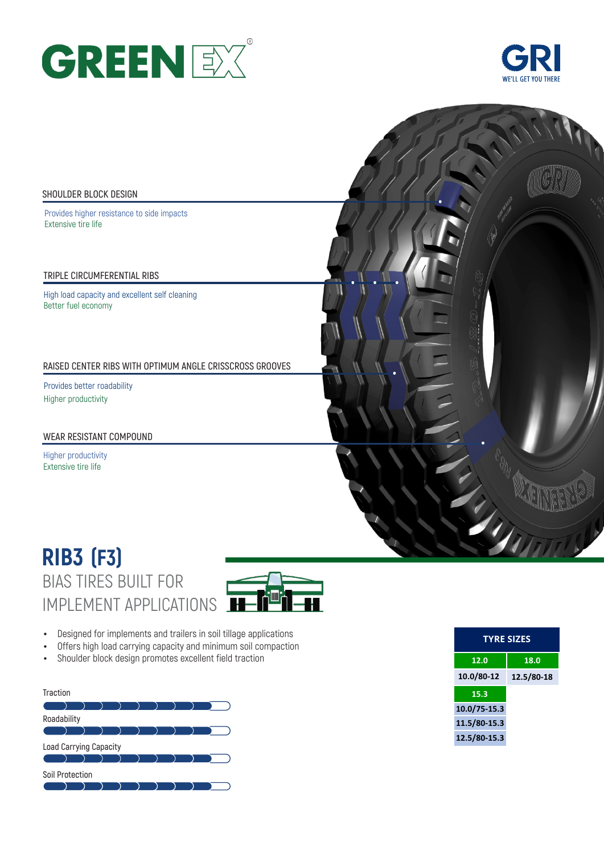



#### **SHOULDER BLOCK DESIGN**

Provides higher resistance to side impacts Extensive tire life

**TRIPLE CIRCUMFERENTIAL RIBS**

High load capacity and excellent self cleaning Better fuel economy

**RAISED CENTER RIBS WITH OPTIMUM ANGLE CRISSCROSS GROOVES** 

Provides better roadability  Higher productivity

**WEAR RESISTANT COMPOUND** 

Higher productivity Extensive tire life

# BIAS TIRES BUILT FOR IMPLEMENT APPLICATIONS **RIB3 (F3)**



- Designed for implements and trailers in soil tillage applications
- Offers high load carrying capacity and minimum soil compaction
- Shoulder block design promotes excellent field traction



| <b>TYRE SIZES</b> |            |  |  |  |  |  |  |
|-------------------|------------|--|--|--|--|--|--|
| 12.0              | 18.0       |  |  |  |  |  |  |
| 10.0/80-12        | 12.5/80-18 |  |  |  |  |  |  |
| 15.3              |            |  |  |  |  |  |  |
| 10.0/75-15.3      |            |  |  |  |  |  |  |
| 11.5/80-15.3      |            |  |  |  |  |  |  |
| 12.5/80-15.3      |            |  |  |  |  |  |  |